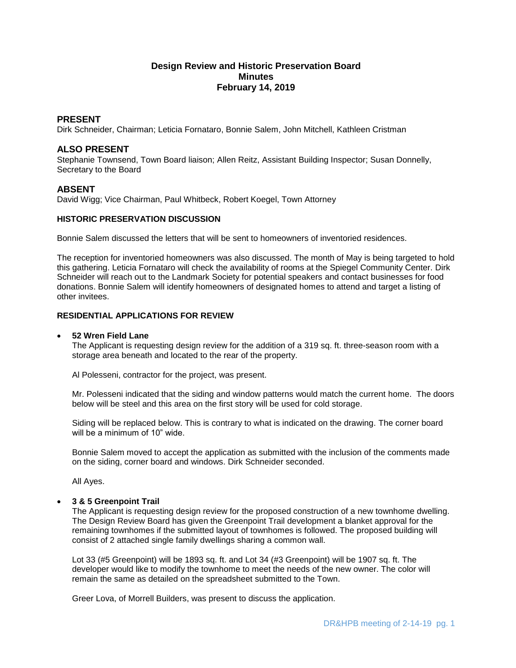# **Design Review and Historic Preservation Board Minutes February 14, 2019**

# **PRESENT**

Dirk Schneider, Chairman; Leticia Fornataro, Bonnie Salem, John Mitchell, Kathleen Cristman

# **ALSO PRESENT**

Stephanie Townsend, Town Board liaison; Allen Reitz, Assistant Building Inspector; Susan Donnelly, Secretary to the Board

# **ABSENT**

David Wigg; Vice Chairman, Paul Whitbeck, Robert Koegel, Town Attorney

# **HISTORIC PRESERVATION DISCUSSION**

Bonnie Salem discussed the letters that will be sent to homeowners of inventoried residences.

The reception for inventoried homeowners was also discussed. The month of May is being targeted to hold this gathering. Leticia Fornataro will check the availability of rooms at the Spiegel Community Center. Dirk Schneider will reach out to the Landmark Society for potential speakers and contact businesses for food donations. Bonnie Salem will identify homeowners of designated homes to attend and target a listing of other invitees.

# **RESIDENTIAL APPLICATIONS FOR REVIEW**

### **52 Wren Field Lane**

The Applicant is requesting design review for the addition of a 319 sq. ft. three-season room with a storage area beneath and located to the rear of the property.

Al Polesseni, contractor for the project, was present.

Mr. Polesseni indicated that the siding and window patterns would match the current home. The doors below will be steel and this area on the first story will be used for cold storage.

Siding will be replaced below. This is contrary to what is indicated on the drawing. The corner board will be a minimum of 10" wide.

Bonnie Salem moved to accept the application as submitted with the inclusion of the comments made on the siding, corner board and windows. Dirk Schneider seconded.

All Ayes.

# **3 & 5 Greenpoint Trail**

The Applicant is requesting design review for the proposed construction of a new townhome dwelling. The Design Review Board has given the Greenpoint Trail development a blanket approval for the remaining townhomes if the submitted layout of townhomes is followed. The proposed building will consist of 2 attached single family dwellings sharing a common wall.

Lot 33 (#5 Greenpoint) will be 1893 sq. ft. and Lot 34 (#3 Greenpoint) will be 1907 sq. ft. The developer would like to modify the townhome to meet the needs of the new owner. The color will remain the same as detailed on the spreadsheet submitted to the Town.

Greer Lova, of Morrell Builders, was present to discuss the application.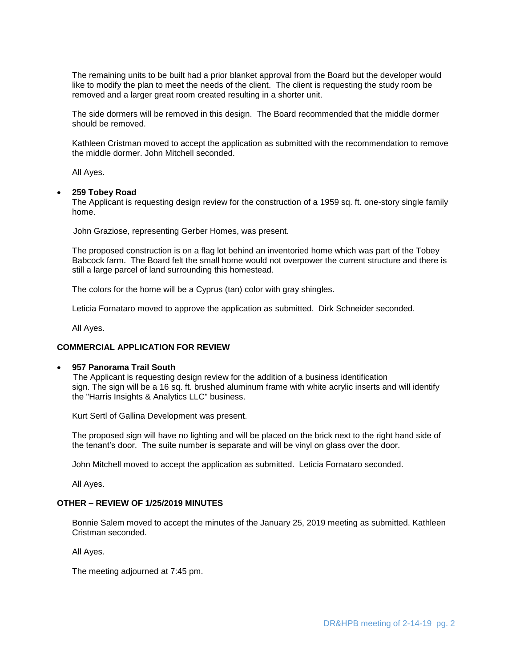The remaining units to be built had a prior blanket approval from the Board but the developer would like to modify the plan to meet the needs of the client. The client is requesting the study room be removed and a larger great room created resulting in a shorter unit.

The side dormers will be removed in this design. The Board recommended that the middle dormer should be removed.

Kathleen Cristman moved to accept the application as submitted with the recommendation to remove the middle dormer. John Mitchell seconded.

All Ayes.

#### **259 Tobey Road**

The Applicant is requesting design review for the construction of a 1959 sq. ft. one-story single family home.

John Graziose, representing Gerber Homes, was present.

The proposed construction is on a flag lot behind an inventoried home which was part of the Tobey Babcock farm. The Board felt the small home would not overpower the current structure and there is still a large parcel of land surrounding this homestead.

The colors for the home will be a Cyprus (tan) color with gray shingles.

Leticia Fornataro moved to approve the application as submitted. Dirk Schneider seconded.

All Ayes.

# **COMMERCIAL APPLICATION FOR REVIEW**

### **957 Panorama Trail South**

The Applicant is requesting design review for the addition of a business identification sign. The sign will be a 16 sq. ft. brushed aluminum frame with white acrylic inserts and will identify the "Harris Insights & Analytics LLC" business.

Kurt Sertl of Gallina Development was present.

The proposed sign will have no lighting and will be placed on the brick next to the right hand side of the tenant's door. The suite number is separate and will be vinyl on glass over the door.

John Mitchell moved to accept the application as submitted. Leticia Fornataro seconded.

All Ayes.

# **OTHER – REVIEW OF 1/25/2019 MINUTES**

Bonnie Salem moved to accept the minutes of the January 25, 2019 meeting as submitted. Kathleen Cristman seconded.

All Ayes.

The meeting adjourned at 7:45 pm.